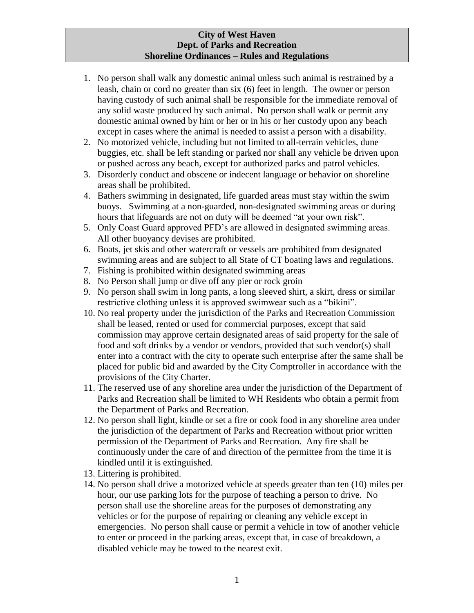## **City of West Haven Dept. of Parks and Recreation Shoreline Ordinances – Rules and Regulations**

- 1. No person shall walk any domestic animal unless such animal is restrained by a leash, chain or cord no greater than six (6) feet in length. The owner or person having custody of such animal shall be responsible for the immediate removal of any solid waste produced by such animal. No person shall walk or permit any domestic animal owned by him or her or in his or her custody upon any beach except in cases where the animal is needed to assist a person with a disability.
- 2. No motorized vehicle, including but not limited to all-terrain vehicles, dune buggies, etc. shall be left standing or parked nor shall any vehicle be driven upon or pushed across any beach, except for authorized parks and patrol vehicles.
- 3. Disorderly conduct and obscene or indecent language or behavior on shoreline areas shall be prohibited.
- 4. Bathers swimming in designated, life guarded areas must stay within the swim buoys. Swimming at a non-guarded, non-designated swimming areas or during hours that lifeguards are not on duty will be deemed "at your own risk".
- 5. Only Coast Guard approved PFD's are allowed in designated swimming areas. All other buoyancy devises are prohibited.
- 6. Boats, jet skis and other watercraft or vessels are prohibited from designated swimming areas and are subject to all State of CT boating laws and regulations.
- 7. Fishing is prohibited within designated swimming areas
- 8. No Person shall jump or dive off any pier or rock groin
- 9. No person shall swim in long pants, a long sleeved shirt, a skirt, dress or similar restrictive clothing unless it is approved swimwear such as a "bikini".
- 10. No real property under the jurisdiction of the Parks and Recreation Commission shall be leased, rented or used for commercial purposes, except that said commission may approve certain designated areas of said property for the sale of food and soft drinks by a vendor or vendors, provided that such vendor(s) shall enter into a contract with the city to operate such enterprise after the same shall be placed for public bid and awarded by the City Comptroller in accordance with the provisions of the City Charter.
- 11. The reserved use of any shoreline area under the jurisdiction of the Department of Parks and Recreation shall be limited to WH Residents who obtain a permit from the Department of Parks and Recreation.
- 12. No person shall light, kindle or set a fire or cook food in any shoreline area under the jurisdiction of the department of Parks and Recreation without prior written permission of the Department of Parks and Recreation. Any fire shall be continuously under the care of and direction of the permittee from the time it is kindled until it is extinguished.
- 13. Littering is prohibited.
- 14. No person shall drive a motorized vehicle at speeds greater than ten (10) miles per hour, our use parking lots for the purpose of teaching a person to drive. No person shall use the shoreline areas for the purposes of demonstrating any vehicles or for the purpose of repairing or cleaning any vehicle except in emergencies. No person shall cause or permit a vehicle in tow of another vehicle to enter or proceed in the parking areas, except that, in case of breakdown, a disabled vehicle may be towed to the nearest exit.